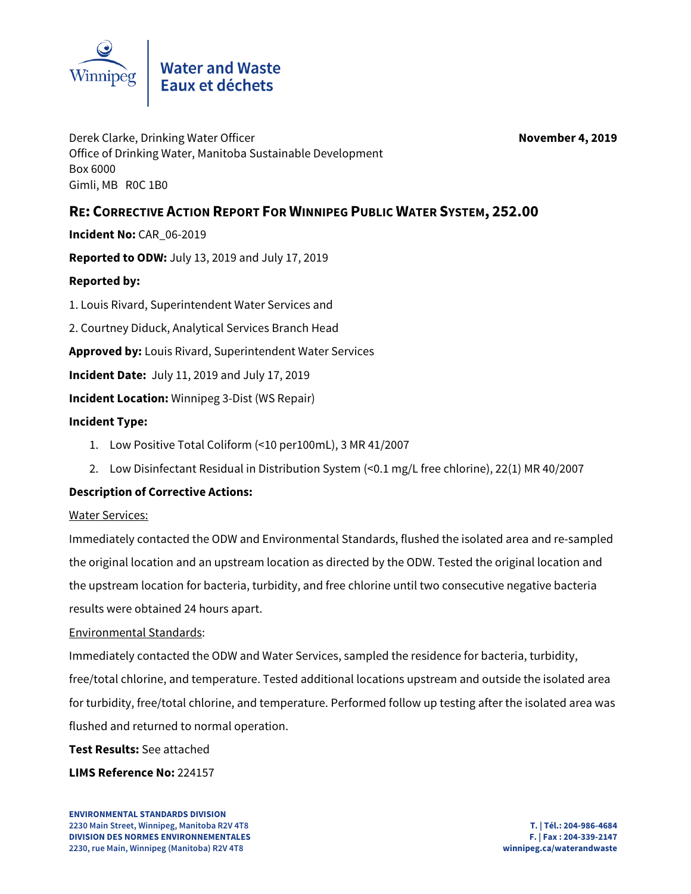

Derek Clarke, Drinking Water Officer **November 4, 2019** Office of Drinking Water, Manitoba Sustainable Development Box 6000 Gimli, MB R0C 1B0

# **RE: CORRECTIVE ACTION REPORT FOR WINNIPEG PUBLIC WATER SYSTEM, 252.00**

**Incident No:** CAR\_06-2019

**Reported to ODW:** July 13, 2019 and July 17, 2019

## **Reported by:**

1. Louis Rivard, Superintendent Water Services and

2. Courtney Diduck, Analytical Services Branch Head

**Approved by:** Louis Rivard, Superintendent Water Services

**Incident Date:** July 11, 2019 and July 17, 2019

**Incident Location:** Winnipeg 3-Dist (WS Repair)

## **Incident Type:**

- 1. Low Positive Total Coliform (<10 per100mL), 3 MR 41/2007
- 2. Low Disinfectant Residual in Distribution System (<0.1 mg/L free chlorine), 22(1) MR 40/2007

# **Description of Corrective Actions:**

#### Water Services:

Immediately contacted the ODW and Environmental Standards, flushed the isolated area and re-sampled the original location and an upstream location as directed by the ODW. Tested the original location and the upstream location for bacteria, turbidity, and free chlorine until two consecutive negative bacteria results were obtained 24 hours apart.

#### Environmental Standards:

Immediately contacted the ODW and Water Services, sampled the residence for bacteria, turbidity, free/total chlorine, and temperature. Tested additional locations upstream and outside the isolated area for turbidity, free/total chlorine, and temperature. Performed follow up testing after the isolated area was flushed and returned to normal operation.

## **Test Results:** See attached

## **LIMS Reference No:** 224157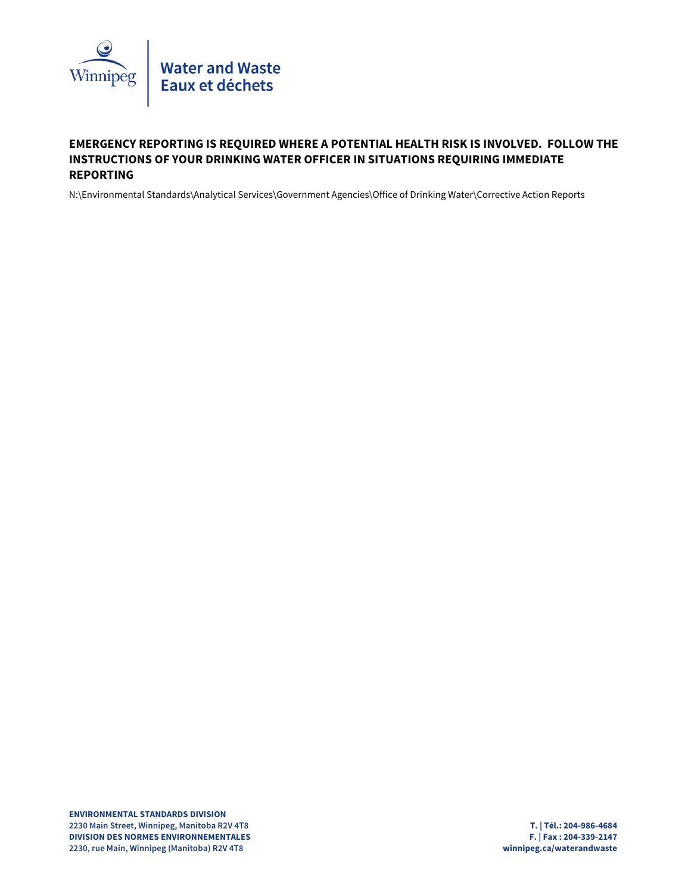

# **EMERGENCY REPORTING IS REQUIRED WHERE A POTENTIAL HEALTH RISK IS INVOLVED. FOLLOW THE INSTRUCTIONS OF YOUR DRINKING WATER OFFICER IN SITUATIONS REQUIRING IMMEDIATE REPORTING**

N:\Environmental Standards\Analytical Services\Government Agencies\Office of Drinking Water\Corrective Action Reports